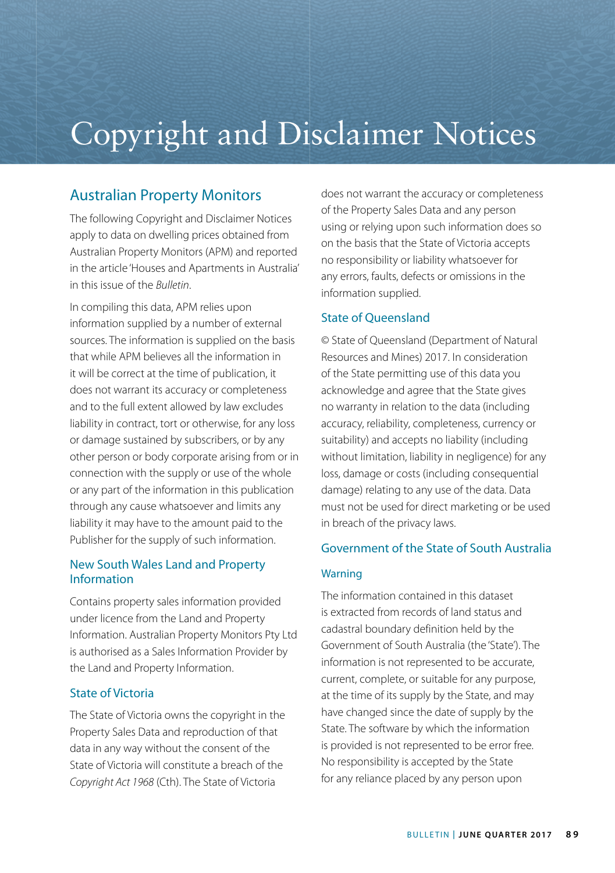# Copyright and Disclaimer Notices

# Australian Property Monitors

The following Copyright and Disclaimer Notices apply to data on dwelling prices obtained from Australian Property Monitors (APM) and reported in the article 'Houses and Apartments in Australia' in this issue of the *Bulletin*.

In compiling this data, APM relies upon information supplied by a number of external sources. The information is supplied on the basis that while APM believes all the information in it will be correct at the time of publication, it does not warrant its accuracy or completeness and to the full extent allowed by law excludes liability in contract, tort or otherwise, for any loss or damage sustained by subscribers, or by any other person or body corporate arising from or in connection with the supply or use of the whole or any part of the information in this publication through any cause whatsoever and limits any liability it may have to the amount paid to the Publisher for the supply of such information.

## New South Wales Land and Property Information

Contains property sales information provided under licence from the Land and Property Information. Australian Property Monitors Pty Ltd is authorised as a Sales Information Provider by the Land and Property Information.

## State of Victoria

The State of Victoria owns the copyright in the Property Sales Data and reproduction of that data in any way without the consent of the State of Victoria will constitute a breach of the *Copyright Act 1968* (Cth). The State of Victoria

does not warrant the accuracy or completeness of the Property Sales Data and any person using or relying upon such information does so on the basis that the State of Victoria accepts no responsibility or liability whatsoever for any errors, faults, defects or omissions in the information supplied.

## State of Queensland

© State of Queensland (Department of Natural Resources and Mines) 2017. In consideration of the State permitting use of this data you acknowledge and agree that the State gives no warranty in relation to the data (including accuracy, reliability, completeness, currency or suitability) and accepts no liability (including without limitation, liability in negligence) for any loss, damage or costs (including consequential damage) relating to any use of the data. Data must not be used for direct marketing or be used in breach of the privacy laws.

## Government of the State of South Australia

## **Warning**

The information contained in this dataset is extracted from records of land status and cadastral boundary definition held by the Government of South Australia (the 'State'). The information is not represented to be accurate, current, complete, or suitable for any purpose, at the time of its supply by the State, and may have changed since the date of supply by the State. The software by which the information is provided is not represented to be error free. No responsibility is accepted by the State for any reliance placed by any person upon